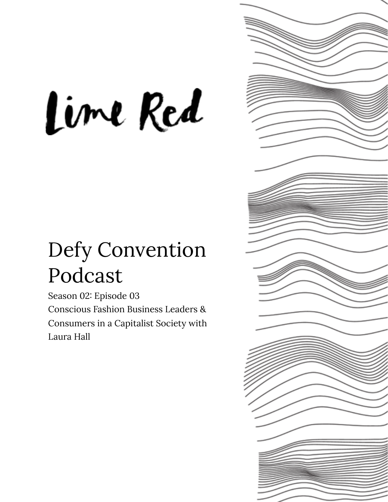# Lime Red

# Defy Convention Podcast

Season 02: Episode 03 Conscious Fashion Business Leaders & Consumers in a Capitalist Society with Laura Hall

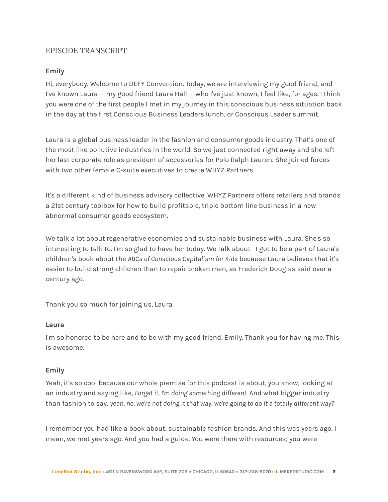# EPISODE TRANSCRIPT

# **Emily**

Hi, everybody. Welcome to DEFY Convention. Today, we are interviewing my good friend, and I've known Laura — my good friend Laura Hall — who I've just known, I feel like, for ages. I think you were one of the first people I met in my journey in this conscious business situation back in the day at the first Conscious Business Leaders lunch, or Conscious Leader summit.

Laura is a global business leader in the fashion and consumer goods industry. That's one of the most like pollutive industries in the world. So we just connected right away and she left her last corporate role as president of accessories for Polo Ralph Lauren. She joined forces with two other female C-suite executives to create WHYZ Partners.

It's a different kind of business advisory collective. WHYZ Partners offers retailers and brands a 21st century toolbox for how to build profitable, triple bottom line business in a new abnormal consumer goods ecosystem.

We talk a lot about regenerative economies and sustainable business with Laura. She's so interesting to talk to. I'm so glad to have her today. We talk about—I got to be a part of Laura's children's book about the *ABCs of Conscious Capitalism for Kids* because Laura believes that it's easier to build strong children than to repair broken men, as Frederick Douglas said over a century ago.

Thank you so much for joining us, Laura.

# **Laura**

I'm so honored to be here and to be with my good friend, Emily. Thank you for having me. This is awesome.

# **Emily**

Yeah, it's so cool because our whole premise for this podcast is about, you know, looking at an industry and saying like, *Forget it, I'm doing something different.* And what bigger industry than fashion to say, *yeah, no, we're not doing it that way, we're going to do it a totally different way*?

I remember you had like a book about, sustainable fashion brands. And this was years ago. I mean, we met years ago. And you had a guide. You were there with resources; you were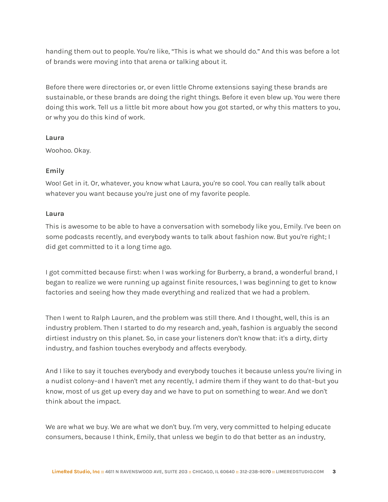handing them out to people. You're like, "This is what we should do." And this was before a lot of brands were moving into that arena or talking about it.

Before there were directories or, or even little Chrome extensions saying these brands are sustainable, or these brands are doing the right things. Before it even blew up. You were there doing this work. Tell us a little bit more about how you got started, or why this matters to you, or why you do this kind of work.

#### **Laura**

Woohoo. Okay.

# **Emily**

Woo! Get in it. Or, whatever, you know what Laura, you're so cool. You can really talk about whatever you want because you're just one of my favorite people.

## **Laura**

This is awesome to be able to have a conversation with somebody like you, Emily. I've been on some podcasts recently, and everybody wants to talk about fashion now. But you're right; I did get committed to it a long time ago.

I got committed because first: when I was working for Burberry, a brand, a wonderful brand, I began to realize we were running up against finite resources, I was beginning to get to know factories and seeing how they made everything and realized that we had a problem.

Then I went to Ralph Lauren, and the problem was still there. And I thought, well, this is an industry problem. Then I started to do my research and, yeah, fashion is arguably the second dirtiest industry on this planet. So, in case your listeners don't know that: it's a dirty, dirty industry, and fashion touches everybody and affects everybody.

And I like to say it touches everybody and everybody touches it because unless you're living in a nudist colony–and I haven't met any recently, I admire them if they want to do that–but you know, most of us get up every day and we have to put on something to wear. And we don't think about the impact.

We are what we buy. We are what we don't buy. I'm very, very committed to helping educate consumers, because I think, Emily, that unless we begin to do that better as an industry,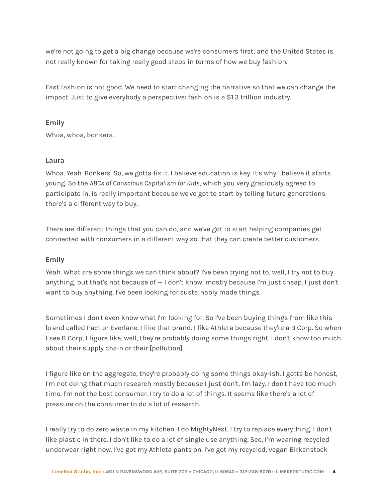we're not going to get a big change because we're consumers first; and the United States is not really known for taking really good steps in terms of how we buy fashion.

Fast fashion is not good. We need to start changing the narrative so that we can change the impact. Just to give everybody a perspective: fashion is a \$1.3 trillion industry.

# **Emily**

Whoa, whoa, bonkers.

# **Laura**

Whoa. Yeah. Bonkers. So, we gotta fix it. I believe education is key. It's why I believe it starts young. So the *ABCs of Conscious Capitalism for Kids*, which you very graciously agreed to participate in, is really important because we've got to start by telling future generations there's a different way to buy.

There are different things that you can do, and we've got to start helping companies get connected with consumers in a different way so that they can create better customers.

# **Emily**

Yeah. What are some things we can think about? I've been trying not to, well, I try not to buy anything, but that's not because of — I don't know, mostly because I'm just cheap. I just don't want to buy anything. I've been looking for sustainably made things.

Sometimes I don't even know what I'm looking for. So I've been buying things from like this brand called Pact or Everlane. I like that brand. I like Athleta because they're a B Corp. So when I see B Corp, I figure like, well, they're probably doing some things right. I don't know too much about their supply chain or their [pollution].

I figure like on the aggregate, they're probably doing some things okay-ish. I gotta be honest, I'm not doing that much research mostly because I just don't, I'm lazy. I don't have too much time. I'm not the best consumer. I try to do a lot of things. It seems like there's a lot of pressure on the consumer to do a lot of research.

I really try to do zero waste in my kitchen. I do MightyNest. I try to replace everything. I don't like plastic in there. I don't like to do a lot of single use anything. See, I'm wearing recycled underwear right now. I've got my Athleta pants on. I've got my recycled, vegan Birkenstock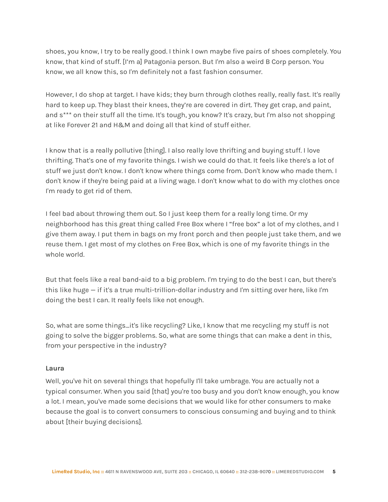shoes, you know, I try to be really good. I think I own maybe five pairs of shoes completely. You know, that kind of stuff. [I'm a] Patagonia person. But I'm also a weird B Corp person. You know, we all know this, so I'm definitely not a fast fashion consumer.

However, I do shop at target. I have kids; they burn through clothes really, really fast. It's really hard to keep up. They blast their knees, they're are covered in dirt. They get crap, and paint, and s\*\*\* on their stuff all the time. It's tough, you know? It's crazy, but I'm also not shopping at like Forever 21 and H&M and doing all that kind of stuff either.

I know that is a really pollutive [thing]. I also really love thrifting and buying stuff. I love thrifting. That's one of my favorite things. I wish we could do that. It feels like there's a lot of stuff we just don't know. I don't know where things come from. Don't know who made them. I don't know if they're being paid at a living wage. I don't know what to do with my clothes once I'm ready to get rid of them.

I feel bad about throwing them out. So I just keep them for a really long time. Or my neighborhood has this great thing called Free Box where I "free box" a lot of my clothes, and I give them away. I put them in bags on my front porch and then people just take them, and we reuse them. I get most of my clothes on Free Box, which is one of my favorite things in the whole world.

But that feels like a real band-aid to a big problem. I'm trying to do the best I can, but there's this like huge — if it's a true multi-trillion-dollar industry and I'm sitting over here, like I'm doing the best I can. It really feels like not enough.

So, what are some things…it's like recycling? Like, I know that me recycling my stuff is not going to solve the bigger problems. So, what are some things that can make a dent in this, from your perspective in the industry?

#### **Laura**

Well, you've hit on several things that hopefully I'll take umbrage. You are actually not a typical consumer. When you said [that] you're too busy and you don't know enough, you know a lot. I mean, you've made some decisions that we would like for other consumers to make because the goal is to convert consumers to conscious consuming and buying and to think about [their buying decisions].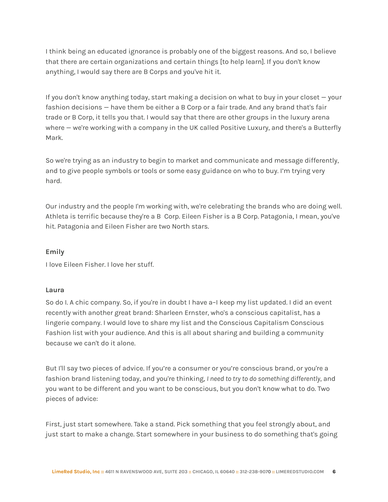I think being an educated ignorance is probably one of the biggest reasons. And so, I believe that there are certain organizations and certain things [to help learn]. If you don't know anything, I would say there are B Corps and you've hit it.

If you don't know anything today, start making a decision on what to buy in your closet — your fashion decisions — have them be either a B Corp or a fair trade. And any brand that's fair trade or B Corp, it tells you that. I would say that there are other groups in the luxury arena where – we're working with a company in the UK called Positive Luxury, and there's a Butterfly Mark.

So we're trying as an industry to begin to market and communicate and message differently, and to give people symbols or tools or some easy guidance on who to buy. I'm trying very hard.

Our industry and the people I'm working with, we're celebrating the brands who are doing well. Athleta is terrific because they're a B Corp. Eileen Fisher is a B Corp. Patagonia, I mean, you've hit. Patagonia and Eileen Fisher are two North stars.

# **Emily**

I love Eileen Fisher. I love her stuff.

# **Laura**

So do I. A chic company. So, if you're in doubt I have a-I keep my list updated. I did an event recently with another great brand: Sharleen Ernster, who's a conscious capitalist, has a lingerie company. I would love to share my list and the Conscious Capitalism Conscious Fashion list with your audience. And this is all about sharing and building a community because we can't do it alone.

But I'll say two pieces of advice. If you're a consumer or you're conscious brand, or you're a fashion brand listening today, and you're thinking, *I need to try to do something differently*, and you want to be different and you want to be conscious, but you don't know what to do. Two pieces of advice:

First, just start somewhere. Take a stand. Pick something that you feel strongly about, and just start to make a change. Start somewhere in your business to do something that's going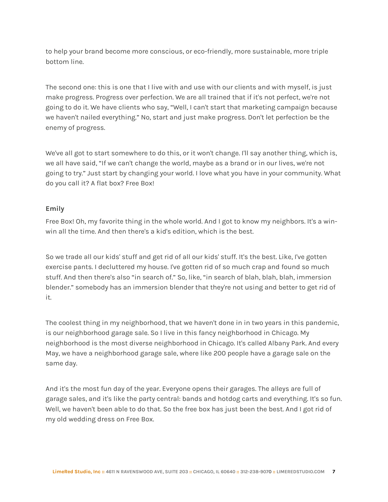to help your brand become more conscious, or eco-friendly, more sustainable, more triple bottom line.

The second one: this is one that I live with and use with our clients and with myself, is just make progress. Progress over perfection. We are all trained that if it's not perfect, we're not going to do it. We have clients who say, "Well, I can't start that marketing campaign because we haven't nailed everything." No, start and just make progress. Don't let perfection be the enemy of progress.

We've all got to start somewhere to do this, or it won't change. I'll say another thing, which is, we all have said, "If we can't change the world, maybe as a brand or in our lives, we're not going to try." Just start by changing your world. I love what you have in your community. What do you call it? A flat box? Free Box!

# **Emily**

Free Box! Oh, my favorite thing in the whole world. And I got to know my neighbors. It's a winwin all the time. And then there's a kid's edition, which is the best.

So we trade all our kids' stuff and get rid of all our kids' stuff. It's the best. Like, I've gotten exercise pants. I decluttered my house. I've gotten rid of so much crap and found so much stuff. And then there's also "in search of." So, like, "in search of blah, blah, blah, immersion blender." somebody has an immersion blender that they're not using and better to get rid of it.

The coolest thing in my neighborhood, that we haven't done in in two years in this pandemic, is our neighborhood garage sale. So I live in this fancy neighborhood in Chicago. My neighborhood is the most diverse neighborhood in Chicago. It's called Albany Park. And every May, we have a neighborhood garage sale, where like 200 people have a garage sale on the same day.

And it's the most fun day of the year. Everyone opens their garages. The alleys are full of garage sales, and it's like the party central: bands and hotdog carts and everything. It's so fun. Well, we haven't been able to do that. So the free box has just been the best. And I got rid of my old wedding dress on Free Box.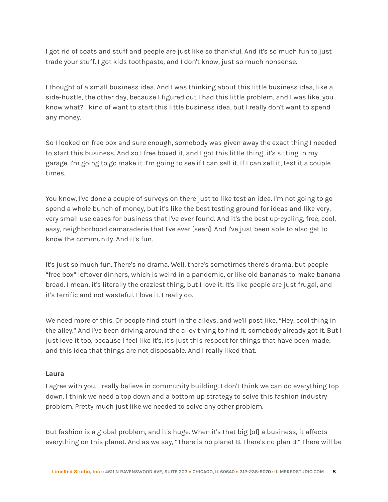I got rid of coats and stuff and people are just like so thankful. And it's so much fun to just trade your stuff. I got kids toothpaste, and I don't know, just so much nonsense.

I thought of a small business idea. And I was thinking about this little business idea, like a side-hustle, the other day, because I figured out I had this little problem, and I was like, you know what? I kind of want to start this little business idea, but I really don't want to spend any money.

So I looked on free box and sure enough, somebody was given away the exact thing I needed to start this business. And so I free boxed it, and I got this little thing, it's sitting in my garage. I'm going to go make it. I'm going to see if I can sell it. If I can sell it, test it a couple times.

You know, I've done a couple of surveys on there just to like test an idea. I'm not going to go spend a whole bunch of money, but it's like the best testing ground for ideas and like very, very small use cases for business that I've ever found. And it's the best up-cycling, free, cool, easy, neighborhood camaraderie that I've ever [seen]. And I've just been able to also get to know the community. And it's fun.

It's just so much fun. There's no drama. Well, there's sometimes there's drama, but people "free box" leftover dinners, which is weird in a pandemic, or like old bananas to make banana bread. I mean, it's literally the craziest thing, but I love it. It's like people are just frugal, and it's terrific and not wasteful. I love it. I really do.

We need more of this. Or people find stuff in the alleys, and we'll post like, "Hey, cool thing in the alley." And I've been driving around the alley trying to find it, somebody already got it. But I just love it too, because I feel like it's, it's just this respect for things that have been made, and this idea that things are not disposable. And I really liked that.

#### **Laura**

I agree with you. I really believe in community building. I don't think we can do everything top down. I think we need a top down and a bottom up strategy to solve this fashion industry problem. Pretty much just like we needed to solve any other problem.

But fashion is a global problem, and it's huge. When it's that big [of] a business, it affects everything on this planet. And as we say, "There is no planet B. There's no plan B." There will be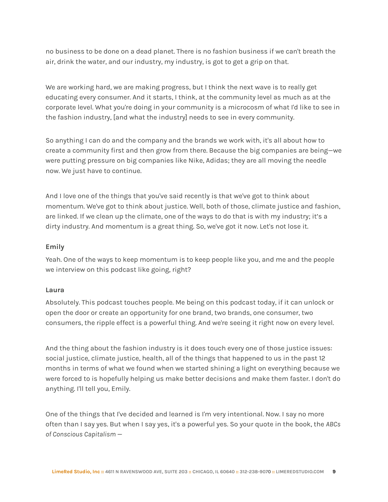no business to be done on a dead planet. There is no fashion business if we can't breath the air, drink the water, and our industry, my industry, is got to get a grip on that.

We are working hard, we are making progress, but I think the next wave is to really get educating every consumer. And it starts, I think, at the community level as much as at the corporate level. What you're doing in your community is a microcosm of what I'd like to see in the fashion industry, [and what the industry] needs to see in every community.

So anything I can do and the company and the brands we work with, it's all about how to create a community first and then grow from there. Because the big companies are being—we were putting pressure on big companies like Nike, Adidas; they are all moving the needle now. We just have to continue.

And I love one of the things that you've said recently is that we've got to think about momentum. We've got to think about justice. Well, both of those, climate justice and fashion, are linked. If we clean up the climate, one of the ways to do that is with my industry; it's a dirty industry. And momentum is a great thing. So, we've got it now. Let's not lose it.

## **Emily**

Yeah. One of the ways to keep momentum is to keep people like you, and me and the people we interview on this podcast like going, right?

#### **Laura**

Absolutely. This podcast touches people. Me being on this podcast today, if it can unlock or open the door or create an opportunity for one brand, two brands, one consumer, two consumers, the ripple effect is a powerful thing. And we're seeing it right now on every level.

And the thing about the fashion industry is it does touch every one of those justice issues: social justice, climate justice, health, all of the things that happened to us in the past 12 months in terms of what we found when we started shining a light on everything because we were forced to is hopefully helping us make better decisions and make them faster. I don't do anything. I'll tell you, Emily.

One of the things that I've decided and learned is I'm very intentional. Now. I say no more often than I say yes. But when I say yes, it's a powerful yes. So your quote in the book, the *ABCs of Conscious Capitalism* —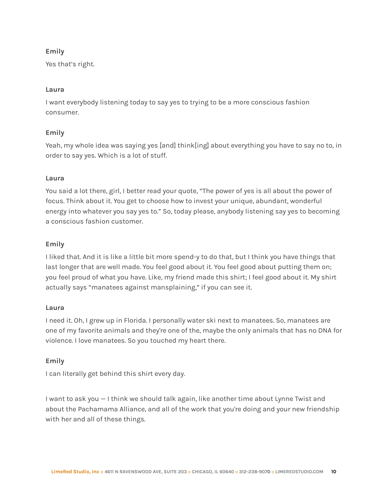# **Emily**

Yes that's right.

# **Laura**

I want everybody listening today to say yes to trying to be a more conscious fashion consumer.

# **Emily**

Yeah, my whole idea was saying yes [and] think[ing] about everything you have to say no to, in order to say yes. Which is a lot of stuff.

# **Laura**

You said a lot there, girl, I better read your quote, "The power of yes is all about the power of focus. Think about it. You get to choose how to invest your unique, abundant, wonderful energy into whatever you say yes to." So, today please, anybody listening say yes to becoming a conscious fashion customer.

# **Emily**

I liked that. And it is like a little bit more spend-y to do that, but I think you have things that last longer that are well made. You feel good about it. You feel good about putting them on; you feel proud of what you have. Like, my friend made this shirt; I feel good about it. My shirt actually says "manatees against mansplaining," if you can see it.

# **Laura**

I need it. Oh, I grew up in Florida. I personally water ski next to manatees. So, manatees are one of my favorite animals and they're one of the, maybe the only animals that has no DNA for violence. I love manatees. So you touched my heart there.

# **Emily**

I can literally get behind this shirt every day.

I want to ask you — I think we should talk again, like another time about Lynne Twist and about the Pachamama Alliance, and all of the work that you're doing and your new friendship with her and all of these things.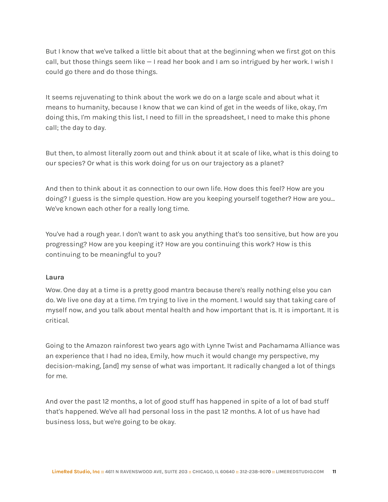But I know that we've talked a little bit about that at the beginning when we first got on this call, but those things seem like — I read her book and I am so intrigued by her work. I wish I could go there and do those things.

It seems rejuvenating to think about the work we do on a large scale and about what it means to humanity, because I know that we can kind of get in the weeds of like, okay, I'm doing this, I'm making this list, I need to fill in the spreadsheet, I need to make this phone call; the day to day.

But then, to almost literally zoom out and think about it at scale of like, what is this doing to our species? Or what is this work doing for us on our trajectory as a planet?

And then to think about it as connection to our own life. How does this feel? How are you doing? I guess is the simple question. How are you keeping yourself together? How are you… We've known each other for a really long time.

You've had a rough year. I don't want to ask you anything that's too sensitive, but how are you progressing? How are you keeping it? How are you continuing this work? How is this continuing to be meaningful to you?

# **Laura**

Wow. One day at a time is a pretty good mantra because there's really nothing else you can do. We live one day at a time. I'm trying to live in the moment. I would say that taking care of myself now, and you talk about mental health and how important that is. It is important. It is critical.

Going to the Amazon rainforest two years ago with Lynne Twist and Pachamama Alliance was an experience that I had no idea, Emily, how much it would change my perspective, my decision-making, [and] my sense of what was important. It radically changed a lot of things for me.

And over the past 12 months, a lot of good stuff has happened in spite of a lot of bad stuff that's happened. We've all had personal loss in the past 12 months. A lot of us have had business loss, but we're going to be okay.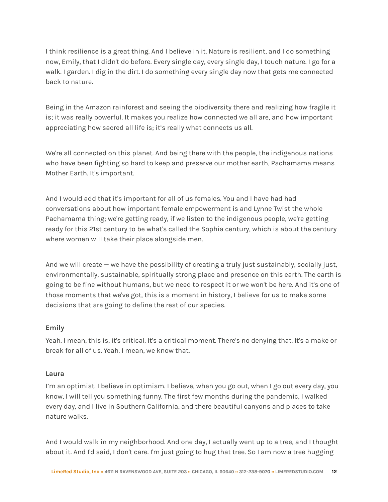I think resilience is a great thing. And I believe in it. Nature is resilient, and I do something now, Emily, that I didn't do before. Every single day, every single day, I touch nature. I go for a walk. I garden. I dig in the dirt. I do something every single day now that gets me connected back to nature.

Being in the Amazon rainforest and seeing the biodiversity there and realizing how fragile it is; it was really powerful. It makes you realize how connected we all are, and how important appreciating how sacred all life is; it's really what connects us all.

We're all connected on this planet. And being there with the people, the indigenous nations who have been fighting so hard to keep and preserve our mother earth, Pachamama means Mother Earth. It's important.

And I would add that it's important for all of us females. You and I have had had conversations about how important female empowerment is and Lynne Twist the whole Pachamama thing; we're getting ready, if we listen to the indigenous people, we're getting ready for this 21st century to be what's called the Sophia century, which is about the century where women will take their place alongside men.

And we will create — we have the possibility of creating a truly just sustainably, socially just, environmentally, sustainable, spiritually strong place and presence on this earth. The earth is going to be fine without humans, but we need to respect it or we won't be here. And it's one of those moments that we've got, this is a moment in history, I believe for us to make some decisions that are going to define the rest of our species.

# **Emily**

Yeah. I mean, this is, it's critical. It's a critical moment. There's no denying that. It's a make or break for all of us. Yeah. I mean, we know that.

# **Laura**

I'm an optimist. I believe in optimism. I believe, when you go out, when I go out every day, you know, I will tell you something funny. The first few months during the pandemic, I walked every day, and I live in Southern California, and there beautiful canyons and places to take nature walks.

And I would walk in my neighborhood. And one day, I actually went up to a tree, and I thought about it. And I'd said, I don't care. I'm just going to hug that tree. So I am now a tree hugging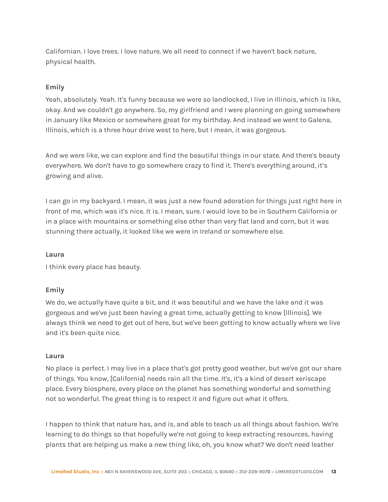Californian. I love trees. I love nature. We all need to connect if we haven't back nature, physical health.

# **Emily**

Yeah, absolutely. Yeah. It's funny because we were so landlocked, I live in Illinois, which is like, okay. And we couldn't go anywhere. So, my girlfriend and I were planning on going somewhere in January like Mexico or somewhere great for my birthday. And instead we went to Galena, Illinois, which is a three hour drive west to here, but I mean, it was gorgeous.

And we were like, we can explore and find the beautiful things in our state. And there's beauty everywhere. We don't have to go somewhere crazy to find it. There's everything around, it's growing and alive.

I can go in my backyard. I mean, it was just a new found adoration for things just right here in front of me, which was it's nice. It is. I mean, sure. I would love to be in Southern California or in a place with mountains or something else other than very flat land and corn, but it was stunning there actually, it looked like we were in Ireland or somewhere else.

#### **Laura**

I think every place has beauty.

#### **Emily**

We do, we actually have quite a bit, and it was beautiful and we have the lake and it was gorgeous and we've just been having a great time, actually getting to know [Illinois]. We always think we need to get out of here, but we've been getting to know actually where we live and it's been quite nice.

## **Laura**

No place is perfect. I may live in a place that's got pretty good weather, but we've got our share of things. You know, [California] needs rain all the time. It's, it's a kind of desert xeriscape place. Every biosphere, every place on the planet has something wonderful and something not so wonderful. The great thing is to respect it and figure out what it offers.

I happen to think that nature has, and is, and able to teach us all things about fashion. We're learning to do things so that hopefully we're not going to keep extracting resources, having plants that are helping us make a new thing like, oh, you know what? We don't need leather